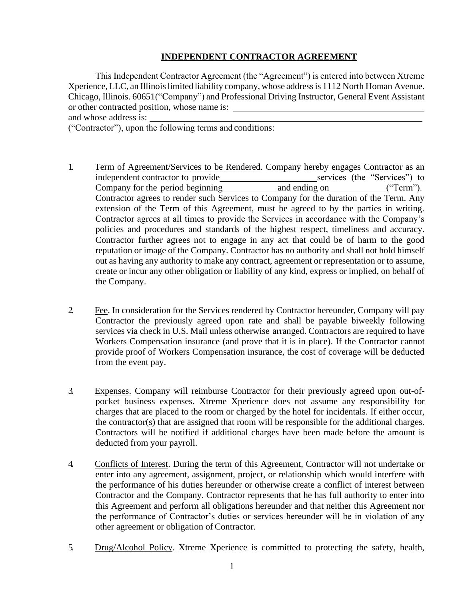## **INDEPENDENT CONTRACTOR AGREEMENT**

This Independent Contractor Agreement (the "Agreement") is entered into between Xtreme Xperience, LLC, an Illinois limited liability company, whose address is 1112 North Homan Avenue. Chicago, Illinois. 60651("Company") and Professional Driving Instructor, General Event Assistant or other contracted position, whose name is:

and whose address is:

("Contractor"), upon the following terms and conditions:

- 1. Term of Agreement/Services to be Rendered. Company hereby engages Contractor as an independent contractor to provide<br>
Company for the period beginning<br>
and ending on<br>
("Term"). Company for the period beginning and ending on ("Term"). Contractor agrees to render such Services to Company for the duration of the Term. Any extension of the Term of this Agreement, must be agreed to by the parties in writing. Contractor agrees at all times to provide the Services in accordance with the Company's policies and procedures and standards of the highest respect, timeliness and accuracy. Contractor further agrees not to engage in any act that could be of harm to the good reputation or image of the Company. Contractor has no authority and shall not hold himself out as having any authority to make any contract, agreement or representation or to assume, create or incur any other obligation or liability of any kind, express or implied, on behalf of the Company.
- 2. Fee. In consideration for the Services rendered by Contractor hereunder, Company will pay Contractor the previously agreed upon rate and shall be payable biweekly following services via check in U.S. Mail unless otherwise arranged. Contractors are required to have Workers Compensation insurance (and prove that it is in place). If the Contractor cannot provide proof of Workers Compensation insurance, the cost of coverage will be deducted from the event pay.
- 3. Expenses. Company will reimburse Contractor for their previously agreed upon out-ofpocket business expenses. Xtreme Xperience does not assume any responsibility for charges that are placed to the room or charged by the hotel for incidentals. If either occur, the contractor(s) that are assigned that room will be responsible for the additional charges. Contractors will be notified if additional charges have been made before the amount is deducted from your payroll.
- 4. Conflicts of Interest. During the term of this Agreement, Contractor will not undertake or enter into any agreement, assignment, project, or relationship which would interfere with the performance of his duties hereunder or otherwise create a conflict of interest between Contractor and the Company. Contractor represents that he has full authority to enter into this Agreement and perform all obligations hereunder and that neither this Agreement nor the performance of Contractor's duties or services hereunder will be in violation of any other agreement or obligation of Contractor.
- 5. Drug/Alcohol Policy. Xtreme Xperience is committed to protecting the safety, health,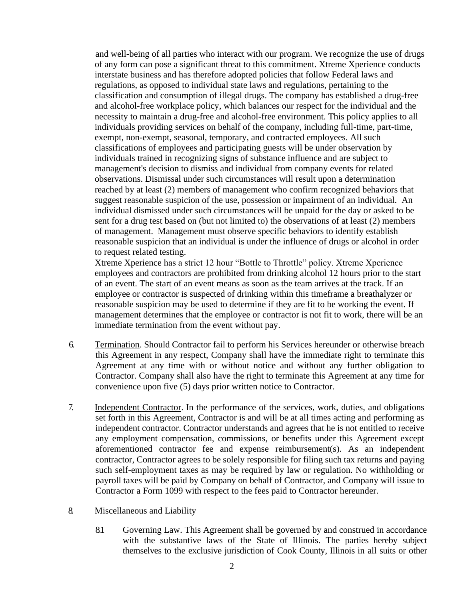and well-being of all parties who interact with our program. We recognize the use of drugs of any form can pose a significant threat to this commitment. Xtreme Xperience conducts interstate business and has therefore adopted policies that follow Federal laws and regulations, as opposed to individual state laws and regulations, pertaining to the classification and consumption of illegal drugs. The company has established a drug-free and alcohol-free workplace policy, which balances our respect for the individual and the necessity to maintain a drug-free and alcohol-free environment. This policy applies to all individuals providing services on behalf of the company, including full-time, part-time, exempt, non-exempt, seasonal, temporary, and contracted employees. All such classifications of employees and participating guests will be under observation by individuals trained in recognizing signs of substance influence and are subject to management's decision to dismiss and individual from company events for related observations. Dismissal under such circumstances will result upon a determination reached by at least (2) members of management who confirm recognized behaviors that suggest reasonable suspicion of the use, possession or impairment of an individual. An individual dismissed under such circumstances will be unpaid for the day or asked to be sent for a drug test based on (but not limited to) the observations of at least (2) members of management. Management must observe specific behaviors to identify establish reasonable suspicion that an individual is under the influence of drugs or alcohol in order to request related testing.

Xtreme Xperience has a strict 12 hour "Bottle to Throttle" policy. Xtreme Xperience employees and contractors are prohibited from drinking alcohol 12 hours prior to the start of an event. The start of an event means as soon as the team arrives at the track. If an employee or contractor is suspected of drinking within this timeframe a breathalyzer or reasonable suspicion may be used to determine if they are fit to be working the event. If management determines that the employee or contractor is not fit to work, there will be an immediate termination from the event without pay.

- 6. Termination. Should Contractor fail to perform his Services hereunder or otherwise breach this Agreement in any respect, Company shall have the immediate right to terminate this Agreement at any time with or without notice and without any further obligation to Contractor. Company shall also have the right to terminate this Agreement at any time for convenience upon five (5) days prior written notice to Contractor.
- 7. Independent Contractor. In the performance of the services, work, duties, and obligations set forth in this Agreement, Contractor is and will be at all times acting and performing as independent contractor. Contractor understands and agrees that he is not entitled to receive any employment compensation, commissions, or benefits under this Agreement except aforementioned contractor fee and expense reimbursement(s). As an independent contractor, Contractor agrees to be solely responsible for filing such tax returns and paying such self-employment taxes as may be required by law or regulation. No withholding or payroll taxes will be paid by Company on behalf of Contractor, and Company will issue to Contractor a Form 1099 with respect to the fees paid to Contractor hereunder.
- 8. Miscellaneous and Liability
	- 8.1 Governing Law. This Agreement shall be governed by and construed in accordance with the substantive laws of the State of Illinois. The parties hereby subject themselves to the exclusive jurisdiction of Cook County, Illinois in all suits or other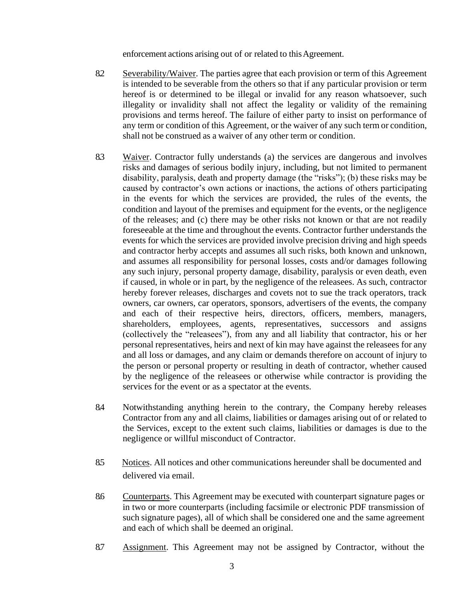enforcement actions arising out of or related to this Agreement.

- 8.2 Severability/Waiver. The parties agree that each provision or term of this Agreement is intended to be severable from the others so that if any particular provision or term hereof is or determined to be illegal or invalid for any reason whatsoever, such illegality or invalidity shall not affect the legality or validity of the remaining provisions and terms hereof. The failure of either party to insist on performance of any term or condition of this Agreement, or the waiver of any such term or condition, shall not be construed as a waiver of any other term or condition.
- 8.3 Waiver. Contractor fully understands (a) the services are dangerous and involves risks and damages of serious bodily injury, including, but not limited to permanent disability, paralysis, death and property damage (the "risks"); (b) these risks may be caused by contractor's own actions or inactions, the actions of others participating in the events for which the services are provided, the rules of the events, the condition and layout of the premises and equipment for the events, or the negligence of the releases; and (c) there may be other risks not known or that are not readily foreseeable at the time and throughout the events. Contractor further understands the events for which the services are provided involve precision driving and high speeds and contractor herby accepts and assumes all such risks, both known and unknown, and assumes all responsibility for personal losses, costs and/or damages following any such injury, personal property damage, disability, paralysis or even death, even if caused, in whole or in part, by the negligence of the releasees. As such, contractor hereby forever releases, discharges and covets not to sue the track operators, track owners, car owners, car operators, sponsors, advertisers of the events, the company and each of their respective heirs, directors, officers, members, managers, shareholders, employees, agents, representatives, successors and assigns (collectively the "releasees"), from any and all liability that contractor, his or her personal representatives, heirs and next of kin may have against the releasees for any and all loss or damages, and any claim or demands therefore on account of injury to the person or personal property or resulting in death of contractor, whether caused by the negligence of the releasees or otherwise while contractor is providing the services for the event or as a spectator at the events.
- 8.4 Notwithstanding anything herein to the contrary, the Company hereby releases Contractor from any and all claims, liabilities or damages arising out of or related to the Services, except to the extent such claims, liabilities or damages is due to the negligence or willful misconduct of Contractor.
- 8.5 Notices. All notices and other communications hereunder shall be documented and delivered via email.
- 8.6 Counterparts. This Agreement may be executed with counterpart signature pages or in two or more counterparts (including facsimile or electronic PDF transmission of such signature pages), all of which shall be considered one and the same agreement and each of which shall be deemed an original.
- 8.7 Assignment. This Agreement may not be assigned by Contractor, without the